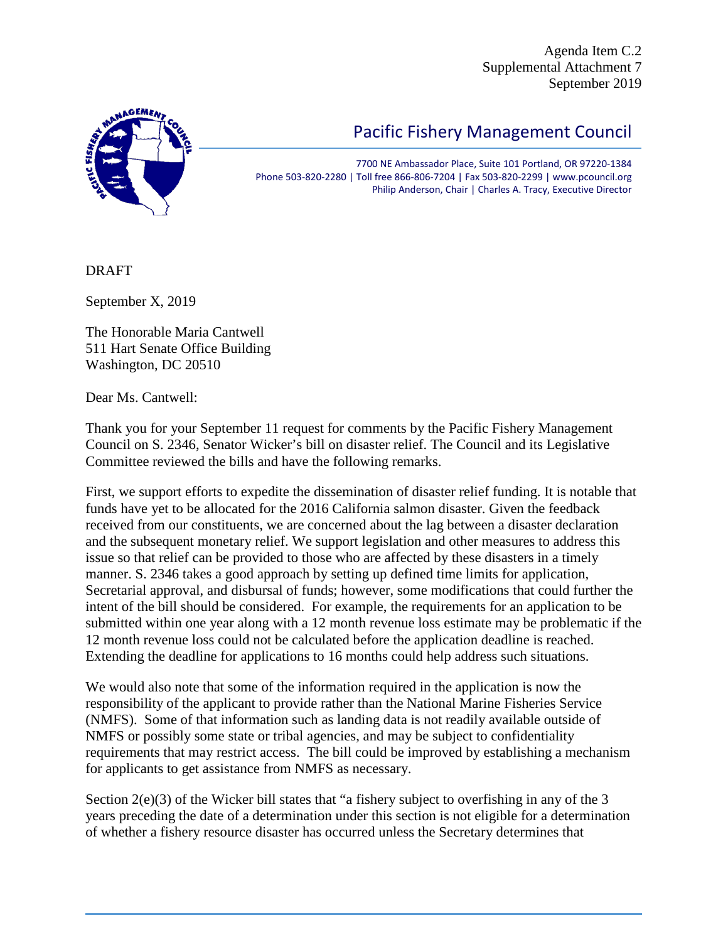Agenda Item C.2 Supplemental Attachment 7 September 2019



## Pacific Fishery Management Council

7700 NE Ambassador Place, Suite 101 Portland, OR 97220-1384 Phone 503-820-2280 | Toll free 866-806-7204 | Fax 503-820-2299 | www.pcouncil.org Philip Anderson, Chair | Charles A. Tracy, Executive Director

DRAFT

September X, 2019

The Honorable Maria Cantwell 511 Hart Senate Office Building Washington, DC 20510

Dear Ms. Cantwell:

Thank you for your September 11 request for comments by the Pacific Fishery Management Council on S. 2346, Senator Wicker's bill on disaster relief. The Council and its Legislative Committee reviewed the bills and have the following remarks.

First, we support efforts to expedite the dissemination of disaster relief funding. It is notable that funds have yet to be allocated for the 2016 California salmon disaster. Given the feedback received from our constituents, we are concerned about the lag between a disaster declaration and the subsequent monetary relief. We support legislation and other measures to address this issue so that relief can be provided to those who are affected by these disasters in a timely manner. S. 2346 takes a good approach by setting up defined time limits for application, Secretarial approval, and disbursal of funds; however, some modifications that could further the intent of the bill should be considered. For example, the requirements for an application to be submitted within one year along with a 12 month revenue loss estimate may be problematic if the 12 month revenue loss could not be calculated before the application deadline is reached. Extending the deadline for applications to 16 months could help address such situations.

We would also note that some of the information required in the application is now the responsibility of the applicant to provide rather than the National Marine Fisheries Service (NMFS). Some of that information such as landing data is not readily available outside of NMFS or possibly some state or tribal agencies, and may be subject to confidentiality requirements that may restrict access. The bill could be improved by establishing a mechanism for applicants to get assistance from NMFS as necessary.

Section 2(e)(3) of the Wicker bill states that "a fishery subject to overfishing in any of the 3 years preceding the date of a determination under this section is not eligible for a determination of whether a fishery resource disaster has occurred unless the Secretary determines that